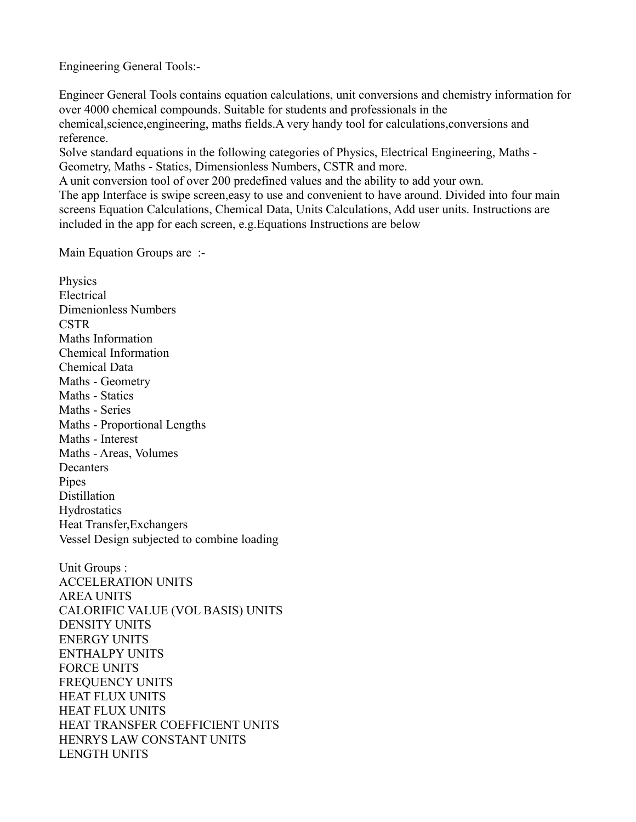Engineering General Tools:-

Engineer General Tools contains equation calculations, unit conversions and chemistry information for over 4000 chemical compounds. Suitable for students and professionals in the chemical,science,engineering, maths fields.A very handy tool for calculations,conversions and reference.

Solve standard equations in the following categories of Physics, Electrical Engineering, Maths - Geometry, Maths - Statics, Dimensionless Numbers, CSTR and more.

A unit conversion tool of over 200 predefined values and the ability to add your own.

The app Interface is swipe screen,easy to use and convenient to have around. Divided into four main screens Equation Calculations, Chemical Data, Units Calculations, Add user units. Instructions are included in the app for each screen, e.g.Equations Instructions are below

Main Equation Groups are :-

Physics Electrical Dimenionless Numbers CSTR Maths Information Chemical Information Chemical Data Maths - Geometry Maths - Statics Maths - Series Maths - Proportional Lengths Maths - Interest Maths - Areas, Volumes **Decanters** Pipes Distillation **Hydrostatics** Heat Transfer,Exchangers Vessel Design subjected to combine loading Unit Groups :

ACCELERATION UNITS AREA UNITS CALORIFIC VALUE (VOL BASIS) UNITS DENSITY UNITS ENERGY UNITS ENTHALPY UNITS FORCE UNITS FREQUENCY UNITS HEAT FLUX UNITS HEAT FLUX UNITS HEAT TRANSFER COEFFICIENT UNITS HENRYS LAW CONSTANT UNITS LENGTH UNITS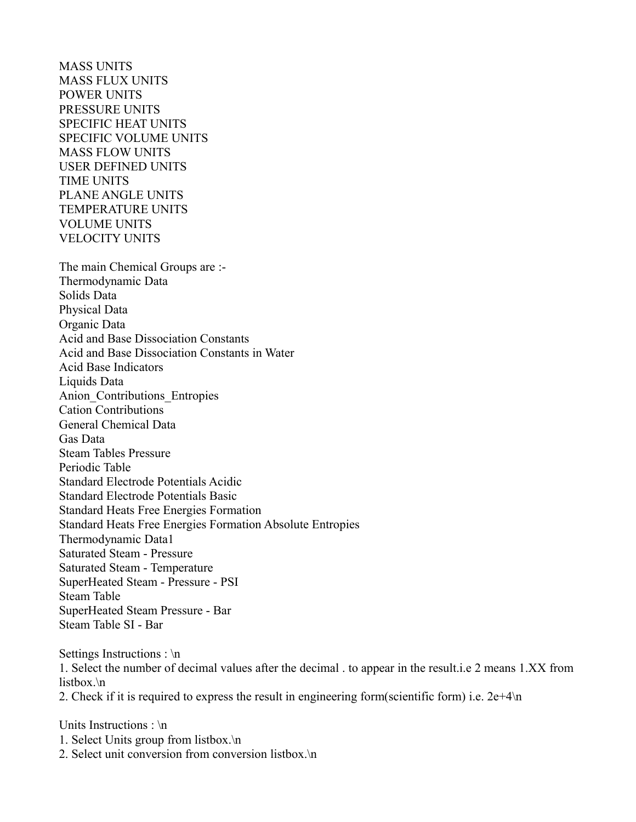MASS UNITS MASS FLUX UNITS POWER UNITS PRESSURE UNITS SPECIFIC HEAT UNITS SPECIFIC VOLUME UNITS MASS FLOW UNITS USER DEFINED UNITS TIME UNITS PLANE ANGLE UNITS TEMPERATURE UNITS VOLUME UNITS VELOCITY UNITS The main Chemical Groups are :- Thermodynamic Data Solids Data Physical Data Organic Data Acid and Base Dissociation Constants Acid and Base Dissociation Constants in Water Acid Base Indicators Liquids Data Anion\_Contributions\_Entropies Cation Contributions General Chemical Data Gas Data Steam Tables Pressure Periodic Table Standard Electrode Potentials Acidic Standard Electrode Potentials Basic Standard Heats Free Energies Formation Standard Heats Free Energies Formation Absolute Entropies Thermodynamic Data1 Saturated Steam - Pressure Saturated Steam - Temperature SuperHeated Steam - Pressure - PSI Steam Table SuperHeated Steam Pressure - Bar Steam Table SI - Bar

Settings Instructions : \n 1. Select the number of decimal values after the decimal . to appear in the result.i.e 2 means 1.XX from listbox.\n 2. Check if it is required to express the result in engineering form(scientific form) i.e. 2e+4\n

Units Instructions : \n

- 1. Select Units group from listbox.\n
- 2. Select unit conversion from conversion listbox.\n